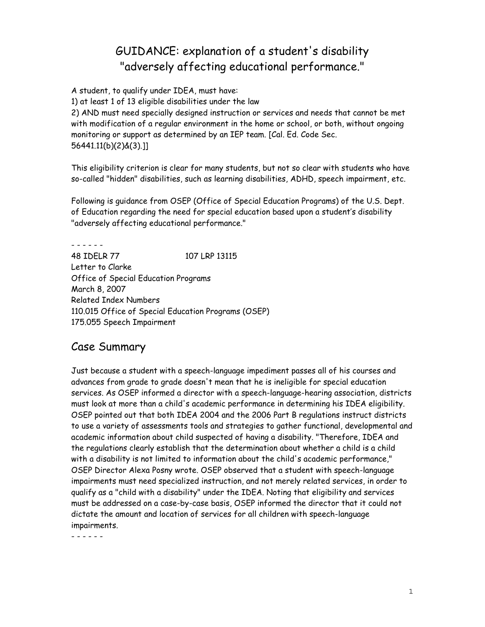# GUIDANCE: explanation of a student's disability "adversely affecting educational performance."

A student, to qualify under IDEA, must have:

1) at least 1 of 13 eligible disabilities under the law

2) AND must need specially designed instruction or services and needs that cannot be met with modification of a regular environment in the home or school, or both, without ongoing monitoring or support as determined by an IEP team. [Cal. Ed. Code Sec. 56441.11(b)(2)&(3).]]

This eligibility criterion is clear for many students, but not so clear with students who have so-called "hidden" disabilities, such as learning disabilities, ADHD, speech impairment, etc.

Following is guidance from OSEP (Office of Special Education Programs) of the U.S. Dept. of Education regarding the need for special education based upon a student's disability "adversely affecting educational performance."

- - - - - - 48 IDELR 77 107 LRP 13115 Letter to Clarke Office of Special Education Programs March 8, 2007 Related Index Numbers 110.015 Office of Special Education Programs (OSEP) 175.055 Speech Impairment

# Case Summary

Just because a student with a speech-language impediment passes all of his courses and advances from grade to grade doesn't mean that he is ineligible for special education services. As OSEP informed a director with a speech-language-hearing association, districts must look at more than a child's academic performance in determining his IDEA eligibility. OSEP pointed out that both IDEA 2004 and the 2006 Part B regulations instruct districts to use a variety of assessments tools and strategies to gather functional, developmental and academic information about child suspected of having a disability. "Therefore, IDEA and the regulations clearly establish that the determination about whether a child is a child with a disability is not limited to information about the child's academic performance," OSEP Director Alexa Posny wrote. OSEP observed that a student with speech-language impairments must need specialized instruction, and not merely related services, in order to qualify as a "child with a disability" under the IDEA. Noting that eligibility and services must be addressed on a case-by-case basis, OSEP informed the director that it could not dictate the amount and location of services for all children with speech-language impairments.

- - - - - -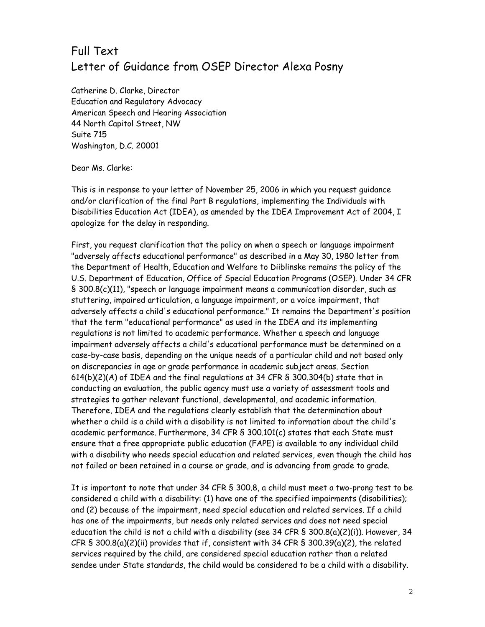# Full Text Letter of Guidance from OSEP Director Alexa Posny

Catherine D. Clarke, Director Education and Regulatory Advocacy American Speech and Hearing Association 44 North Capitol Street, NW Suite 715 Washington, D.C. 20001

#### Dear Ms. Clarke:

This is in response to your letter of November 25, 2006 in which you request guidance and/or clarification of the final Part B regulations, implementing the Individuals with Disabilities Education Act (IDEA), as amended by the IDEA Improvement Act of 2004, I apologize for the delay in responding.

First, you request clarification that the policy on when a speech or language impairment "adversely affects educational performance" as described in a May 30, 1980 letter from the Department of Health, Education and Welfare to Diiblinske remains the policy of the U.S. Department of Education, Office of Special Education Programs (OSEP). Under 34 CFR § 300.8(c)(11), "speech or language impairment means a communication disorder, such as stuttering, impaired articulation, a language impairment, or a voice impairment, that adversely affects a child's educational performance." It remains the Department's position that the term "educational performance" as used in the IDEA and its implementing regulations is not limited to academic performance. Whether a speech and language impairment adversely affects a child's educational performance must be determined on a case-by-case basis, depending on the unique needs of a particular child and not based only on discrepancies in age or grade performance in academic subject areas. Section 614(b)(2)(A) of IDEA and the final regulations at 34 CFR § 300.304(b) state that in conducting an evaluation, the public agency must use a variety of assessment tools and strategies to gather relevant functional, developmental, and academic information. Therefore, IDEA and the regulations clearly establish that the determination about whether a child is a child with a disability is not limited to information about the child's academic performance. Furthermore, 34 CFR § 300.101(c) states that each State must ensure that a free appropriate public education (FAPE) is available to any individual child with a disability who needs special education and related services, even though the child has not failed or been retained in a course or grade, and is advancing from grade to grade.

It is important to note that under 34 CFR § 300.8, a child must meet a two-prong test to be considered a child with a disability: (1) have one of the specified impairments (disabilities); and (2) because of the impairment, need special education and related services. If a child has one of the impairments, but needs only related services and does not need special education the child is not a child with a disability (see 34 CFR § 300.8(a)(2)(i)). However, 34 CFR  $\$$  300.8(a)(2)(ii) provides that if, consistent with 34 CFR  $\$$  300.39(a)(2), the related services required by the child, are considered special education rather than a related sendee under State standards, the child would be considered to be a child with a disability.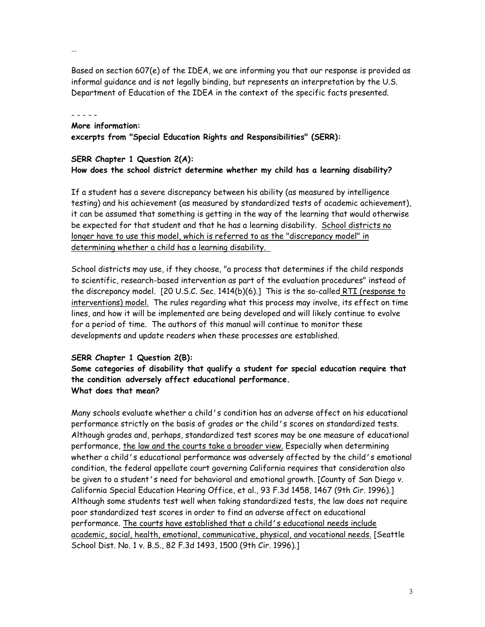Based on section 607(e) of the IDEA, we are informing you that our response is provided as informal guidance and is not legally binding, but represents an interpretation by the U.S. Department of Education of the IDEA in the context of the specific facts presented.

- - - - -

…

## **More information:**

**excerpts from "Special Education Rights and Responsibilities" (SERR):** 

### **SERR Chapter 1 Question 2(A): How does the school district determine whether my child has a learning disability?**

If a student has a severe discrepancy between his ability (as measured by intelligence testing) and his achievement (as measured by standardized tests of academic achievement), it can be assumed that something is getting in the way of the learning that would otherwise be expected for that student and that he has a learning disability. School districts no longer have to use this model, which is referred to as the "discrepancy model" in determining whether a child has a learning disability.

School districts may use, if they choose, "a process that determines if the child responds to scientific, research-based intervention as part of the evaluation procedures" instead of the discrepancy model. [20 U.S.C. Sec. 1414(b)(6).] This is the so-called RTI (response to interventions) model. The rules regarding what this process may involve, its effect on time lines, and how it will be implemented are being developed and will likely continue to evolve for a period of time. The authors of this manual will continue to monitor these developments and update readers when these processes are established.

### **SERR Chapter 1 Question 2(B):**

**Some categories of disability that qualify a student for special education require that the condition adversely affect educational performance. What does that mean?** 

Many schools evaluate whether a child's condition has an adverse affect on his educational performance strictly on the basis of grades or the child's scores on standardized tests. Although grades and, perhaps, standardized test scores may be one measure of educational performance, the law and the courts take a broader view. Especially when determining whether a child's educational performance was adversely affected by the child's emotional condition, the federal appellate court governing California requires that consideration also be given to a student's need for behavioral and emotional growth. [County of San Diego v. California Special Education Hearing Office, et al., 93 F.3d 1458, 1467 (9th Cir. 1996).] Although some students test well when taking standardized tests, the law does not require poor standardized test scores in order to find an adverse affect on educational performance. The courts have established that a child's educational needs include academic, social, health, emotional, communicative, physical, and vocational needs. [Seattle School Dist. No. 1 v. B.S., 82 F.3d 1493, 1500 (9th Cir. 1996).]